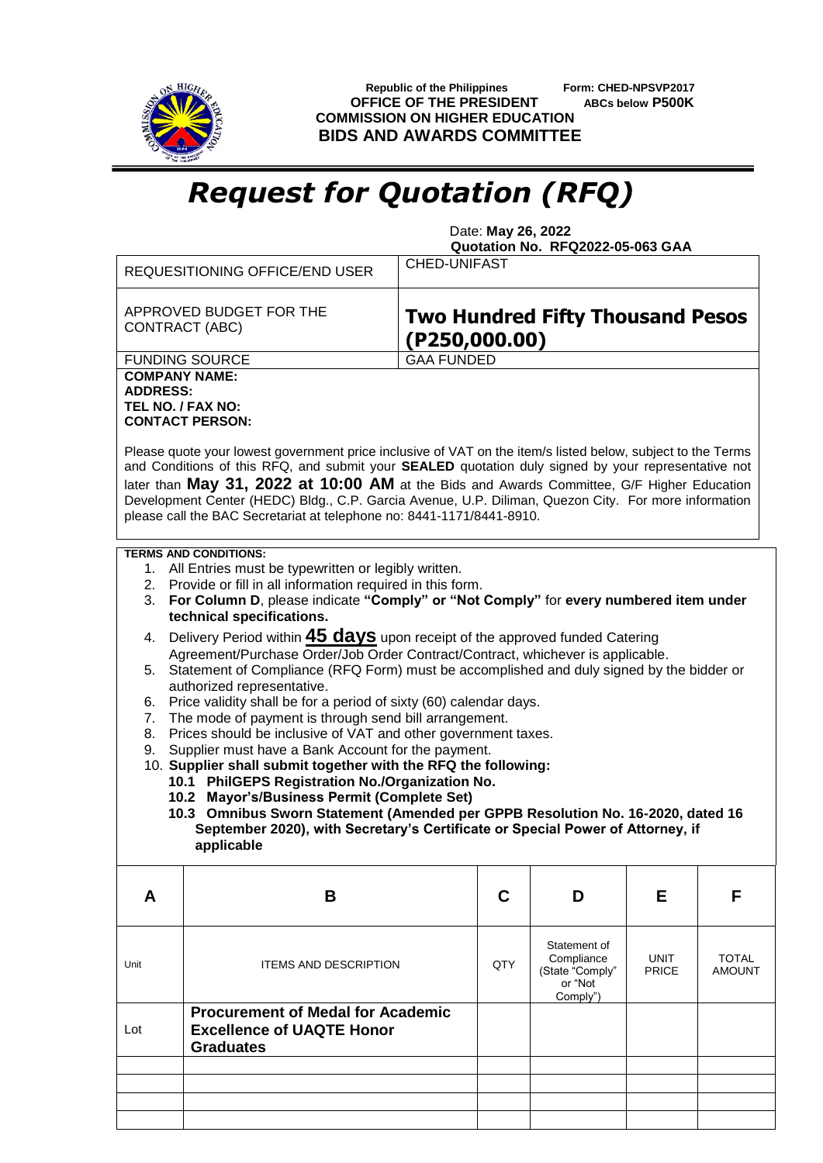

 **Republic of the Philippines Form: CHED-NPSVP2017 OFFICE OF THE PRESIDENT ABCs below P500K COMMISSION ON HIGHER EDUCATION BIDS AND AWARDS COMMITTEE**

## *Request for Quotation (RFQ)*

 Date: **May 26, 2022 Quotation No. RFQ2022-05-063 GAA**

|                                                                                          | <b>REQUESITIONING OFFICE/END USER</b>                                                                                                                                                                                                                                                                                                                                                                                                                                                             | <b>CHED-UNIFAST</b> |                                                          |                            |              |               |  |  |  |  |  |
|------------------------------------------------------------------------------------------|---------------------------------------------------------------------------------------------------------------------------------------------------------------------------------------------------------------------------------------------------------------------------------------------------------------------------------------------------------------------------------------------------------------------------------------------------------------------------------------------------|---------------------|----------------------------------------------------------|----------------------------|--------------|---------------|--|--|--|--|--|
|                                                                                          | APPROVED BUDGET FOR THE<br>CONTRACT (ABC)                                                                                                                                                                                                                                                                                                                                                                                                                                                         |                     | <b>Two Hundred Fifty Thousand Pesos</b><br>(P250,000.00) |                            |              |               |  |  |  |  |  |
|                                                                                          | <b>FUNDING SOURCE</b>                                                                                                                                                                                                                                                                                                                                                                                                                                                                             |                     | <b>GAA FUNDED</b>                                        |                            |              |               |  |  |  |  |  |
|                                                                                          | <b>COMPANY NAME:</b>                                                                                                                                                                                                                                                                                                                                                                                                                                                                              |                     |                                                          |                            |              |               |  |  |  |  |  |
| <b>ADDRESS:</b>                                                                          | TEL NO. / FAX NO:                                                                                                                                                                                                                                                                                                                                                                                                                                                                                 |                     |                                                          |                            |              |               |  |  |  |  |  |
| <b>CONTACT PERSON:</b>                                                                   |                                                                                                                                                                                                                                                                                                                                                                                                                                                                                                   |                     |                                                          |                            |              |               |  |  |  |  |  |
|                                                                                          | Please quote your lowest government price inclusive of VAT on the item/s listed below, subject to the Terms<br>and Conditions of this RFQ, and submit your SEALED quotation duly signed by your representative not<br>later than May 31, 2022 at 10:00 AM at the Bids and Awards Committee, G/F Higher Education<br>Development Center (HEDC) Bldg., C.P. Garcia Avenue, U.P. Diliman, Quezon City. For more information<br>please call the BAC Secretariat at telephone no: 8441-1171/8441-8910. |                     |                                                          |                            |              |               |  |  |  |  |  |
|                                                                                          | <b>TERMS AND CONDITIONS:</b>                                                                                                                                                                                                                                                                                                                                                                                                                                                                      |                     |                                                          |                            |              |               |  |  |  |  |  |
| 1. All Entries must be typewritten or legibly written.                                   |                                                                                                                                                                                                                                                                                                                                                                                                                                                                                                   |                     |                                                          |                            |              |               |  |  |  |  |  |
| 3.                                                                                       | Provide or fill in all information required in this form.<br>2.<br>For Column D, please indicate "Comply" or "Not Comply" for every numbered item under                                                                                                                                                                                                                                                                                                                                           |                     |                                                          |                            |              |               |  |  |  |  |  |
|                                                                                          | technical specifications.                                                                                                                                                                                                                                                                                                                                                                                                                                                                         |                     |                                                          |                            |              |               |  |  |  |  |  |
| Delivery Period within <b>45 days</b> upon receipt of the approved funded Catering<br>4. |                                                                                                                                                                                                                                                                                                                                                                                                                                                                                                   |                     |                                                          |                            |              |               |  |  |  |  |  |
| Agreement/Purchase Order/Job Order Contract/Contract, whichever is applicable.           |                                                                                                                                                                                                                                                                                                                                                                                                                                                                                                   |                     |                                                          |                            |              |               |  |  |  |  |  |
|                                                                                          | Statement of Compliance (RFQ Form) must be accomplished and duly signed by the bidder or<br>5.<br>authorized representative.                                                                                                                                                                                                                                                                                                                                                                      |                     |                                                          |                            |              |               |  |  |  |  |  |
| Price validity shall be for a period of sixty (60) calendar days.<br>6.                  |                                                                                                                                                                                                                                                                                                                                                                                                                                                                                                   |                     |                                                          |                            |              |               |  |  |  |  |  |
| 7.                                                                                       | The mode of payment is through send bill arrangement.                                                                                                                                                                                                                                                                                                                                                                                                                                             |                     |                                                          |                            |              |               |  |  |  |  |  |
| 8.<br>9.                                                                                 | Prices should be inclusive of VAT and other government taxes.<br>Supplier must have a Bank Account for the payment.                                                                                                                                                                                                                                                                                                                                                                               |                     |                                                          |                            |              |               |  |  |  |  |  |
|                                                                                          | 10. Supplier shall submit together with the RFQ the following:                                                                                                                                                                                                                                                                                                                                                                                                                                    |                     |                                                          |                            |              |               |  |  |  |  |  |
|                                                                                          | 10.1 PhilGEPS Registration No./Organization No.                                                                                                                                                                                                                                                                                                                                                                                                                                                   |                     |                                                          |                            |              |               |  |  |  |  |  |
|                                                                                          | 10.2 Mayor's/Business Permit (Complete Set)<br>10.3 Omnibus Sworn Statement (Amended per GPPB Resolution No. 16-2020, dated 16                                                                                                                                                                                                                                                                                                                                                                    |                     |                                                          |                            |              |               |  |  |  |  |  |
|                                                                                          | September 2020), with Secretary's Certificate or Special Power of Attorney, if                                                                                                                                                                                                                                                                                                                                                                                                                    |                     |                                                          |                            |              |               |  |  |  |  |  |
|                                                                                          | applicable                                                                                                                                                                                                                                                                                                                                                                                                                                                                                        |                     |                                                          |                            |              |               |  |  |  |  |  |
|                                                                                          |                                                                                                                                                                                                                                                                                                                                                                                                                                                                                                   |                     |                                                          |                            |              |               |  |  |  |  |  |
| A                                                                                        | B                                                                                                                                                                                                                                                                                                                                                                                                                                                                                                 |                     | C                                                        | D                          | Е            | F             |  |  |  |  |  |
|                                                                                          |                                                                                                                                                                                                                                                                                                                                                                                                                                                                                                   |                     |                                                          |                            |              |               |  |  |  |  |  |
|                                                                                          |                                                                                                                                                                                                                                                                                                                                                                                                                                                                                                   |                     |                                                          | Statement of<br>Compliance | <b>UNIT</b>  | <b>TOTAL</b>  |  |  |  |  |  |
| Unit                                                                                     | <b>ITEMS AND DESCRIPTION</b>                                                                                                                                                                                                                                                                                                                                                                                                                                                                      |                     | QTY                                                      | (State "Comply"            | <b>PRICE</b> | <b>AMOUNT</b> |  |  |  |  |  |
|                                                                                          |                                                                                                                                                                                                                                                                                                                                                                                                                                                                                                   |                     |                                                          | or "Not<br>Comply")        |              |               |  |  |  |  |  |
|                                                                                          | <b>Procurement of Medal for Academic</b>                                                                                                                                                                                                                                                                                                                                                                                                                                                          |                     |                                                          |                            |              |               |  |  |  |  |  |
| Lot                                                                                      | <b>Excellence of UAQTE Honor</b>                                                                                                                                                                                                                                                                                                                                                                                                                                                                  |                     |                                                          |                            |              |               |  |  |  |  |  |
|                                                                                          | <b>Graduates</b>                                                                                                                                                                                                                                                                                                                                                                                                                                                                                  |                     |                                                          |                            |              |               |  |  |  |  |  |
|                                                                                          |                                                                                                                                                                                                                                                                                                                                                                                                                                                                                                   |                     |                                                          |                            |              |               |  |  |  |  |  |
|                                                                                          |                                                                                                                                                                                                                                                                                                                                                                                                                                                                                                   |                     |                                                          |                            |              |               |  |  |  |  |  |
|                                                                                          |                                                                                                                                                                                                                                                                                                                                                                                                                                                                                                   |                     |                                                          |                            |              |               |  |  |  |  |  |
|                                                                                          |                                                                                                                                                                                                                                                                                                                                                                                                                                                                                                   |                     |                                                          |                            |              |               |  |  |  |  |  |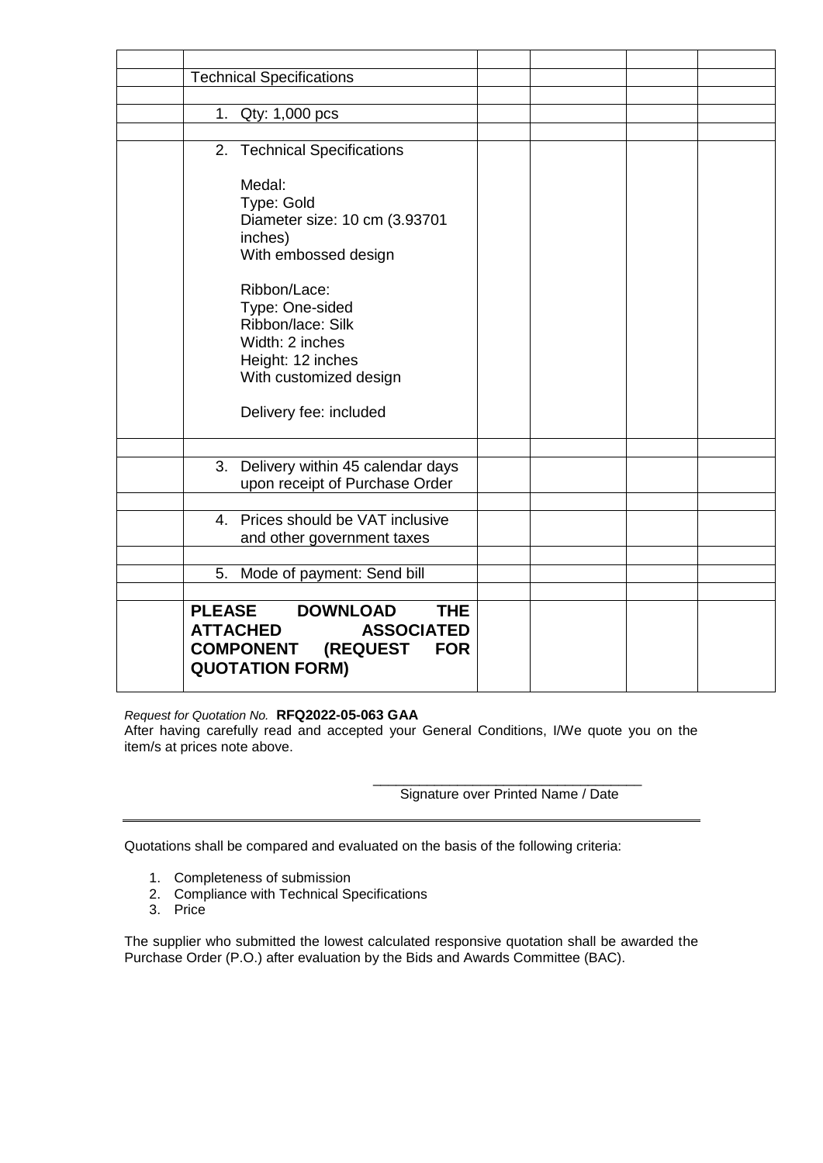| <b>Technical Specifications</b>                                                                                                                                                                                                              |                                                                       |  |  |  |
|----------------------------------------------------------------------------------------------------------------------------------------------------------------------------------------------------------------------------------------------|-----------------------------------------------------------------------|--|--|--|
|                                                                                                                                                                                                                                              |                                                                       |  |  |  |
| 1. Qty: 1,000 pcs                                                                                                                                                                                                                            |                                                                       |  |  |  |
|                                                                                                                                                                                                                                              |                                                                       |  |  |  |
| 2. Technical Specifications                                                                                                                                                                                                                  |                                                                       |  |  |  |
| Medal:<br>Type: Gold<br>Diameter size: 10 cm (3.93701<br>inches)<br>With embossed design<br>Ribbon/Lace:<br>Type: One-sided<br>Ribbon/lace: Silk<br>Width: 2 inches<br>Height: 12 inches<br>With customized design<br>Delivery fee: included |                                                                       |  |  |  |
|                                                                                                                                                                                                                                              |                                                                       |  |  |  |
|                                                                                                                                                                                                                                              | 3. Delivery within 45 calendar days<br>upon receipt of Purchase Order |  |  |  |
| 4. Prices should be VAT inclusive                                                                                                                                                                                                            |                                                                       |  |  |  |
| and other government taxes                                                                                                                                                                                                                   |                                                                       |  |  |  |
|                                                                                                                                                                                                                                              |                                                                       |  |  |  |
| Mode of payment: Send bill<br>5.                                                                                                                                                                                                             |                                                                       |  |  |  |
|                                                                                                                                                                                                                                              |                                                                       |  |  |  |
| <b>PLEASE</b><br><b>DOWNLOAD</b><br><b>ATTACHED</b><br><b>COMPONENT (REQUEST</b><br><b>QUOTATION FORM)</b>                                                                                                                                   | <b>THE</b><br><b>ASSOCIATED</b><br><b>FOR</b>                         |  |  |  |

*Request for Quotation No.* **RFQ2022-05-063 GAA**

After having carefully read and accepted your General Conditions, I/We quote you on the item/s at prices note above.

> \_\_\_\_\_\_\_\_\_\_\_\_\_\_\_\_\_\_\_\_\_\_\_\_\_\_\_\_\_\_\_\_\_\_\_ Signature over Printed Name / Date

Quotations shall be compared and evaluated on the basis of the following criteria:

- 1. Completeness of submission
- 2. Compliance with Technical Specifications
- 3. Price

The supplier who submitted the lowest calculated responsive quotation shall be awarded the Purchase Order (P.O.) after evaluation by the Bids and Awards Committee (BAC).